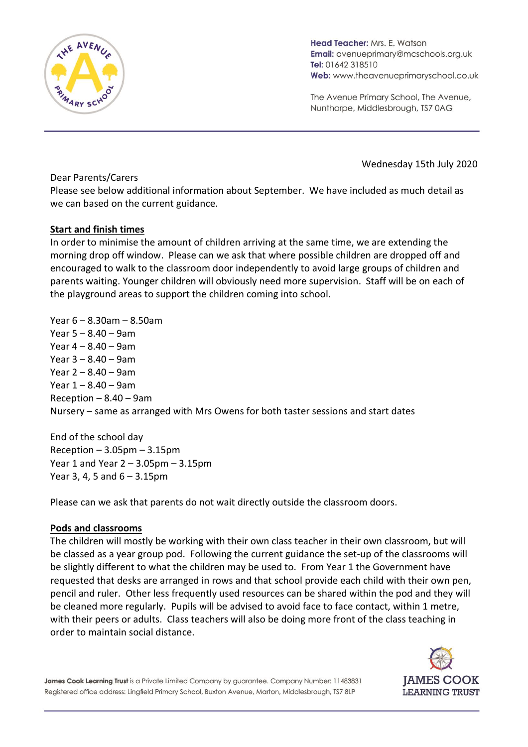

Head Teacher: Mrs. E. Watson Email: avenueprimary@mcschools.org.uk Tel: 01642 318510 Web: www.theavenueprimaryschool.co.uk

The Avenue Primary School, The Avenue, Nunthorpe, Middlesbrough, TS7 0AG

Wednesday 15th July 2020

Dear Parents/Carers

Please see below additional information about September. We have included as much detail as we can based on the current guidance.

# **Start and finish times**

In order to minimise the amount of children arriving at the same time, we are extending the morning drop off window. Please can we ask that where possible children are dropped off and encouraged to walk to the classroom door independently to avoid large groups of children and parents waiting. Younger children will obviously need more supervision. Staff will be on each of the playground areas to support the children coming into school.

Year 6 – 8.30am – 8.50am Year 5 – 8.40 – 9am Year 4 – 8.40 – 9am Year 3 – 8.40 – 9am Year 2 – 8.40 – 9am Year 1 – 8.40 – 9am Reception  $-8.40 - 9$ am Nursery – same as arranged with Mrs Owens for both taster sessions and start dates

End of the school day  $Recoption - 3.05pm - 3.15pm$ Year 1 and Year 2 – 3.05pm – 3.15pm Year 3, 4, 5 and 6 – 3.15pm

Please can we ask that parents do not wait directly outside the classroom doors.

# **Pods and classrooms**

The children will mostly be working with their own class teacher in their own classroom, but will be classed as a year group pod. Following the current guidance the set-up of the classrooms will be slightly different to what the children may be used to. From Year 1 the Government have requested that desks are arranged in rows and that school provide each child with their own pen, pencil and ruler. Other less frequently used resources can be shared within the pod and they will be cleaned more regularly. Pupils will be advised to avoid face to face contact, within 1 metre, with their peers or adults. Class teachers will also be doing more front of the class teaching in order to maintain social distance.



James Cook Learning Trust is a Private Limited Company by guarantee. Company Number: 11483831 Registered office address: Lingfield Primary School, Buxton Avenue, Marton, Middlesbrough, TS7 8LP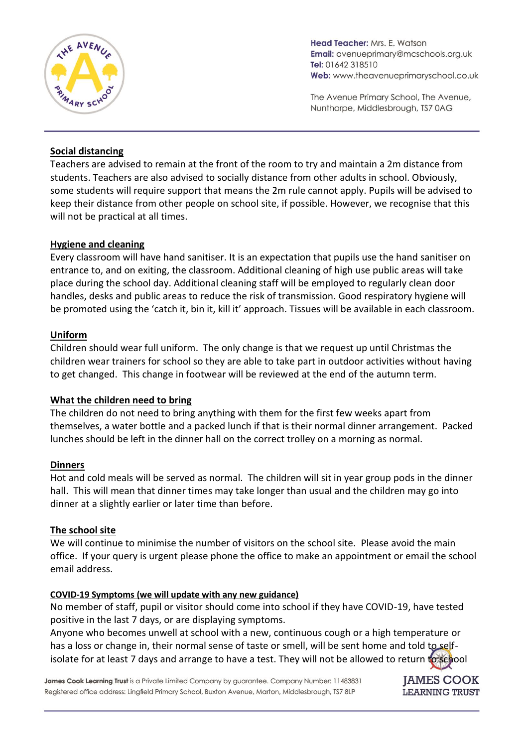

Head Teacher: Mrs. E. Watson Email: avenueprimary@mcschools.org.uk Tel: 01642 318510 Web: www.theavenueprimaryschool.co.uk

The Avenue Primary School, The Avenue, Nunthorpe, Middlesbrough, TS7 0AG

## **Social distancing**

Teachers are advised to remain at the front of the room to try and maintain a 2m distance from students. Teachers are also advised to socially distance from other adults in school. Obviously, some students will require support that means the 2m rule cannot apply. Pupils will be advised to keep their distance from other people on school site, if possible. However, we recognise that this will not be practical at all times.

### **Hygiene and cleaning**

Every classroom will have hand sanitiser. It is an expectation that pupils use the hand sanitiser on entrance to, and on exiting, the classroom. Additional cleaning of high use public areas will take place during the school day. Additional cleaning staff will be employed to regularly clean door handles, desks and public areas to reduce the risk of transmission. Good respiratory hygiene will be promoted using the 'catch it, bin it, kill it' approach. Tissues will be available in each classroom.

### **Uniform**

Children should wear full uniform. The only change is that we request up until Christmas the children wear trainers for school so they are able to take part in outdoor activities without having to get changed. This change in footwear will be reviewed at the end of the autumn term.

### **What the children need to bring**

The children do not need to bring anything with them for the first few weeks apart from themselves, a water bottle and a packed lunch if that is their normal dinner arrangement. Packed lunches should be left in the dinner hall on the correct trolley on a morning as normal.

### **Dinners**

Hot and cold meals will be served as normal. The children will sit in year group pods in the dinner hall. This will mean that dinner times may take longer than usual and the children may go into dinner at a slightly earlier or later time than before.

### **The school site**

We will continue to minimise the number of visitors on the school site. Please avoid the main office. If your query is urgent please phone the office to make an appointment or email the school email address.

### **COVID-19 Symptoms (we will update with any new guidance)**

No member of staff, pupil or visitor should come into school if they have COVID-19, have tested positive in the last 7 days, or are displaying symptoms.

Anyone who becomes unwell at school with a new, continuous cough or a high temperature or has a loss or change in, their normal sense of taste or smell, will be sent home and told to selfisolate for at least 7 days and arrange to have a test. They will not be allowed to return to school

James Cook Learning Trust is a Private Limited Company by guarantee. Company Number: 11483831 Registered office address: Lingfield Primary School, Buxton Avenue, Marton, Middlesbrough, TS7 8LP

**IAMES COOK LEARNING TRUST**